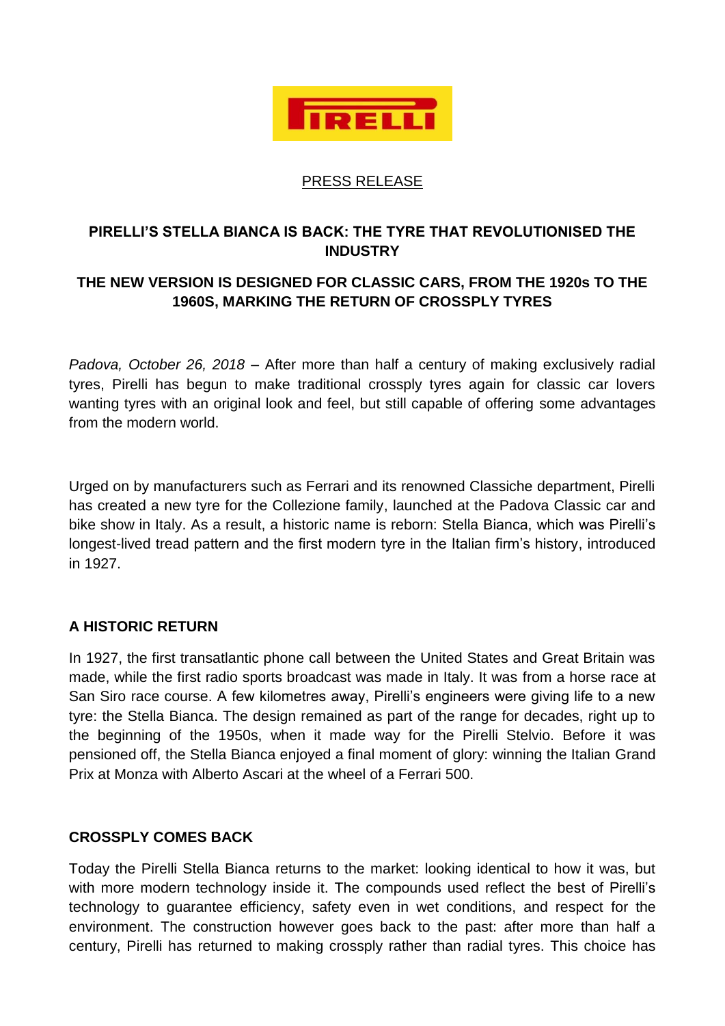

#### PRESS RELEASE

## **PIRELLI'S STELLA BIANCA IS BACK: THE TYRE THAT REVOLUTIONISED THE INDUSTRY**

# **THE NEW VERSION IS DESIGNED FOR CLASSIC CARS, FROM THE 1920s TO THE 1960S, MARKING THE RETURN OF CROSSPLY TYRES**

*Padova, October 26, 2018* – After more than half a century of making exclusively radial tyres, Pirelli has begun to make traditional crossply tyres again for classic car lovers wanting tyres with an original look and feel, but still capable of offering some advantages from the modern world.

Urged on by manufacturers such as Ferrari and its renowned Classiche department, Pirelli has created a new tyre for the Collezione family, launched at the Padova Classic car and bike show in Italy. As a result, a historic name is reborn: Stella Bianca, which was Pirelli's longest-lived tread pattern and the first modern tyre in the Italian firm's history, introduced in 1927.

### **A HISTORIC RETURN**

In 1927, the first transatlantic phone call between the United States and Great Britain was made, while the first radio sports broadcast was made in Italy. It was from a horse race at San Siro race course. A few kilometres away, Pirelli's engineers were giving life to a new tyre: the Stella Bianca. The design remained as part of the range for decades, right up to the beginning of the 1950s, when it made way for the Pirelli Stelvio. Before it was pensioned off, the Stella Bianca enjoyed a final moment of glory: winning the Italian Grand Prix at Monza with Alberto Ascari at the wheel of a Ferrari 500.

### **CROSSPLY COMES BACK**

Today the Pirelli Stella Bianca returns to the market: looking identical to how it was, but with more modern technology inside it. The compounds used reflect the best of Pirelli's technology to guarantee efficiency, safety even in wet conditions, and respect for the environment. The construction however goes back to the past: after more than half a century, Pirelli has returned to making crossply rather than radial tyres. This choice has